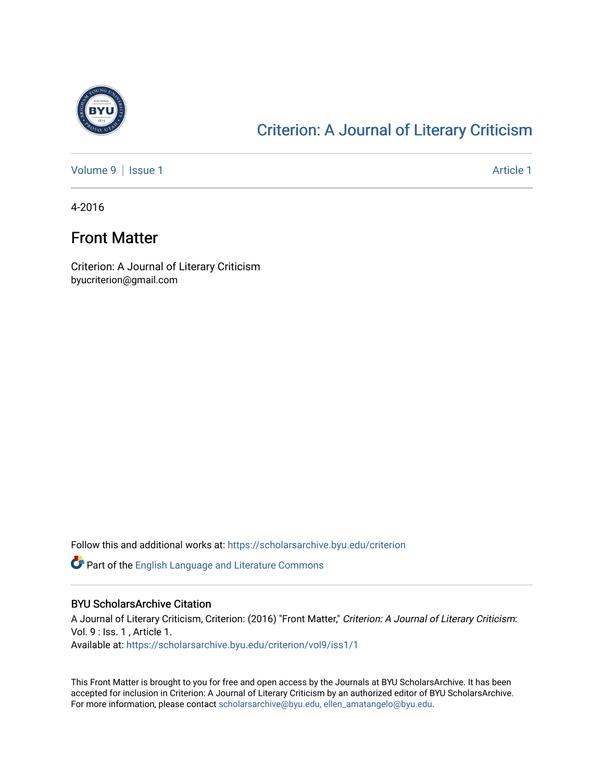

#### [Criterion: A Journal of Literary Criticism](https://scholarsarchive.byu.edu/criterion)

[Volume 9](https://scholarsarchive.byu.edu/criterion/vol9) | [Issue 1](https://scholarsarchive.byu.edu/criterion/vol9/iss1) Article 1

4-2016

#### Front Matter

Criterion: A Journal of Literary Criticism byucriterion@gmail.com

Follow this and additional works at: [https://scholarsarchive.byu.edu/criterion](https://scholarsarchive.byu.edu/criterion?utm_source=scholarsarchive.byu.edu%2Fcriterion%2Fvol9%2Fiss1%2F1&utm_medium=PDF&utm_campaign=PDFCoverPages) 

**P** Part of the [English Language and Literature Commons](http://network.bepress.com/hgg/discipline/455?utm_source=scholarsarchive.byu.edu%2Fcriterion%2Fvol9%2Fiss1%2F1&utm_medium=PDF&utm_campaign=PDFCoverPages)

#### BYU ScholarsArchive Citation

A Journal of Literary Criticism, Criterion: (2016) "Front Matter," Criterion: A Journal of Literary Criticism: Vol. 9 : Iss. 1 , Article 1. Available at: [https://scholarsarchive.byu.edu/criterion/vol9/iss1/1](https://scholarsarchive.byu.edu/criterion/vol9/iss1/1?utm_source=scholarsarchive.byu.edu%2Fcriterion%2Fvol9%2Fiss1%2F1&utm_medium=PDF&utm_campaign=PDFCoverPages) 

This Front Matter is brought to you for free and open access by the Journals at BYU ScholarsArchive. It has been accepted for inclusion in Criterion: A Journal of Literary Criticism by an authorized editor of BYU ScholarsArchive. For more information, please contact [scholarsarchive@byu.edu, ellen\\_amatangelo@byu.edu](mailto:scholarsarchive@byu.edu,%20ellen_amatangelo@byu.edu).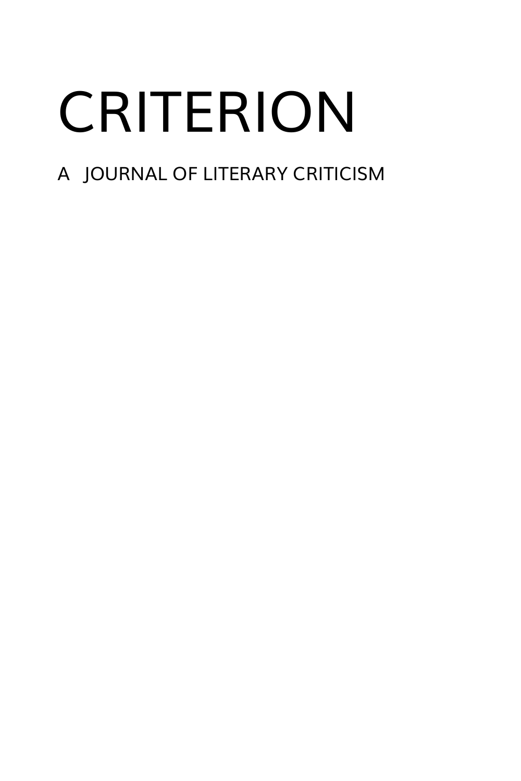# CRITERION

### A JOURNAL OF LITERARY CRITICISM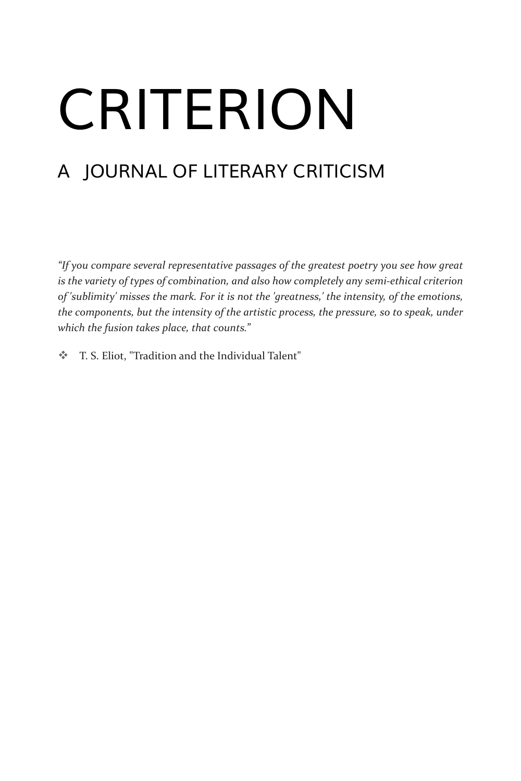# CRITERION

### A JOURNAL OF LITERARY CRITICISM

*"If you compare several representative passages of the greatest poetry you see how great is the variety of types of combination, and also how completely any semi-ethical criterion of 'sublimity' misses the mark. For it is not the 'greatness,' the intensity, of the emotions, the components, but the intensity of the artistic process, the pressure, so to speak, under which the fusion takes place, that counts."*

T. S. Eliot, "Tradition and the Individual Talent"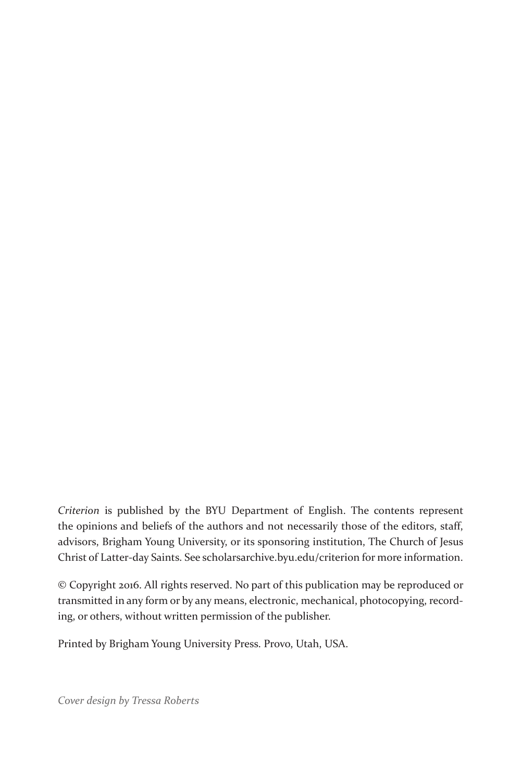*Criterion* is published by the BYU Department of English. The contents represent the opinions and beliefs of the authors and not necessarily those of the editors, staff, advisors, Brigham Young University, or its sponsoring institution, The Church of Jesus Christ of Latter-day Saints. See scholarsarchive.byu.edu/criterion for more information.

© Copyright 2016. All rights reserved. No part of this publication may be reproduced or transmitted in any form or by any means, electronic, mechanical, photocopying, recording, or others, without written permission of the publisher.

Printed by Brigham Young University Press. Provo, Utah, USA.

*Cover design by Tressa Roberts*